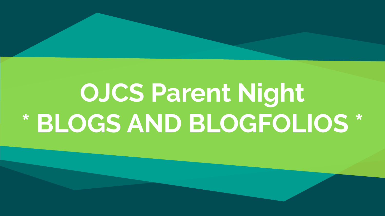# **OJCS Parent Night \* BLOGS AND BLOGFOLIOS \***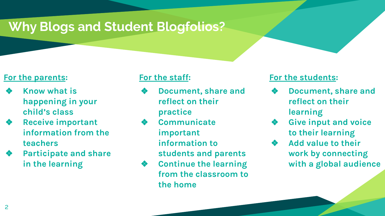## **Why Blogs and Student Blogfolios?**

#### **For the parents:**

- ❖ **Know what is happening in your child's class**
- ❖ **Receive important information from the teachers**
- ❖ **Participate and share in the learning**

#### **For the staff:**

- ❖ **Document, share and reflect on their practice**
- ❖ **Communicate important information to students and parents**
- ❖ **Continue the learning from the classroom to the home**

#### **For the students:**

- ❖ **Document, share and reflect on their learning**
- ❖ **Give input and voice to their learning**
- ❖ **Add value to their work by connecting with a global audience**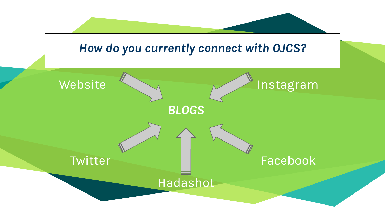# **"** *BLOGS How do you currently connect with OJCS?* Website **Twitter** Instagram Facebook Hadashot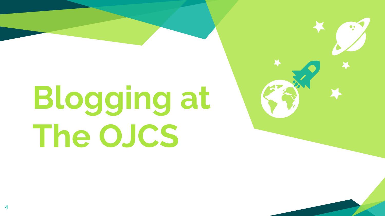# **Blogging at The OJCS**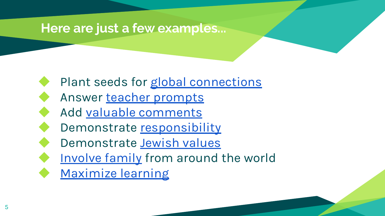#### **Here are just a few examples...**

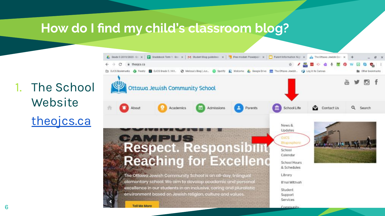#### **How do I find my child's classroom blog?**

1. The School Website [theojcs.ca](http://theojcs.ca)

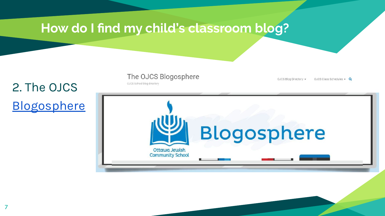

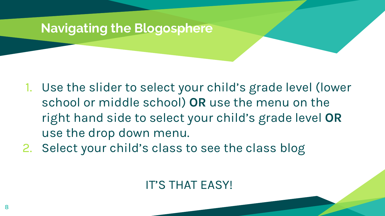### **Navigating the Blogosphere**

- 1. Use the slider to select your child's grade level (lower school or middle school) **OR** use the menu on the right hand side to select your child's grade level **OR** use the drop down menu.
- 2. Select your child's class to see the class blog

### IT'S THAT EASY!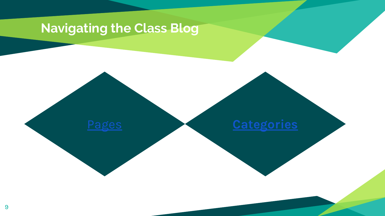## **Navigating the Class Blog**

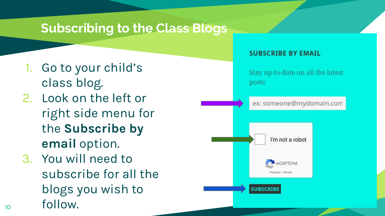#### **Subscribing to the Class Blogs**

- 1. Go to your child's class blog.
- 2. Look on the left or right side menu for the **Subscribe by email** option.
- 3. You will need to subscribe for all the blogs you wish to 10 follow.

#### **SUBSCRIBE BY EMAIL**

Stay up-to-date on all the latest posts

ex: someone@mydomain.com

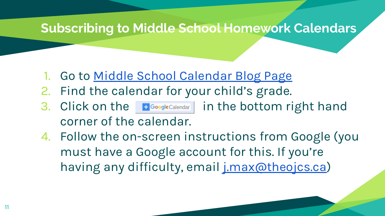#### **Subscribing to Middle School Homework Calendars**

- 1. Go to [Middle School Calendar Blog Page](https://theojcs.edublogs.org/ojcs-blog-directory-2/middle-school-blogs/middle-school-calendar/)
- 2. Find the calendar for your child's grade.
- 3. Click on the **Elgoogle** Calendar | in the bottom right hand corner of the calendar.
- 4. Follow the on-screen instructions from Google (you must have a Google account for this. If you're having any difficulty, email *j.max@theojcs.ca*)